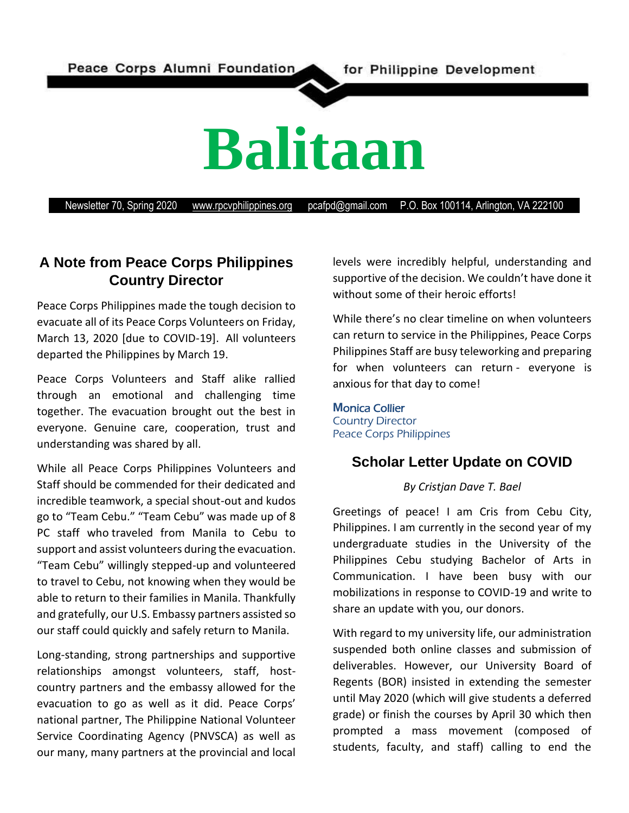Peace Corps Alumni Foundation

# **Balitaan**

Newsletter 70, Spring 2020 [www.rpcvphilippines.org](http://www.rpcvphilippines.org/) pcafpd@gmail.com P.O. Box 100114, Arlington, VA 222100

# **A Note from Peace Corps Philippines Country Director**

Peace Corps Philippines made the tough decision to evacuate all of its Peace Corps Volunteers on Friday, March 13, 2020 [due to COVID-19]. All volunteers departed the Philippines by March 19.

Peace Corps Volunteers and Staff alike rallied through an emotional and challenging time together. The evacuation brought out the best in everyone. Genuine care, cooperation, trust and understanding was shared by all.

While all Peace Corps Philippines Volunteers and Staff should be commended for their dedicated and incredible teamwork, a special shout-out and kudos go to "Team Cebu." "Team Cebu" was made up of 8 PC staff who traveled from Manila to Cebu to support and assist volunteers during the evacuation. "Team Cebu" willingly stepped-up and volunteered to travel to Cebu, not knowing when they would be able to return to their families in Manila. Thankfully and gratefully, our U.S. Embassy partners assisted so our staff could quickly and safely return to Manila.

Long-standing, strong partnerships and supportive relationships amongst volunteers, staff, hostcountry partners and the embassy allowed for the evacuation to go as well as it did. Peace Corps' national partner, The Philippine National Volunteer Service Coordinating Agency (PNVSCA) as well as our many, many partners at the provincial and local levels were incredibly helpful, understanding and supportive of the decision. We couldn't have done it without some of their heroic efforts!

While there's no clear timeline on when volunteers can return to service in the Philippines, Peace Corps Philippines Staff are busy teleworking and preparing for when volunteers can return - everyone is anxious for that day to come!

#### **M**onica Collier Country Director Peace Corps Philippines

# **Scholar Letter Update on COVID**

#### *By Cristjan Dave T. Bael*

Greetings of peace! I am Cris from Cebu City, Philippines. I am currently in the second year of my undergraduate studies in the University of the Philippines Cebu studying Bachelor of Arts in Communication. I have been busy with our mobilizations in response to COVID-19 and write to share an update with you, our donors.

With regard to my university life, our administration suspended both online classes and submission of deliverables. However, our University Board of Regents (BOR) insisted in extending the semester until May 2020 (which will give students a deferred grade) or finish the courses by April 30 which then prompted a mass movement (composed of students, faculty, and staff) calling to end the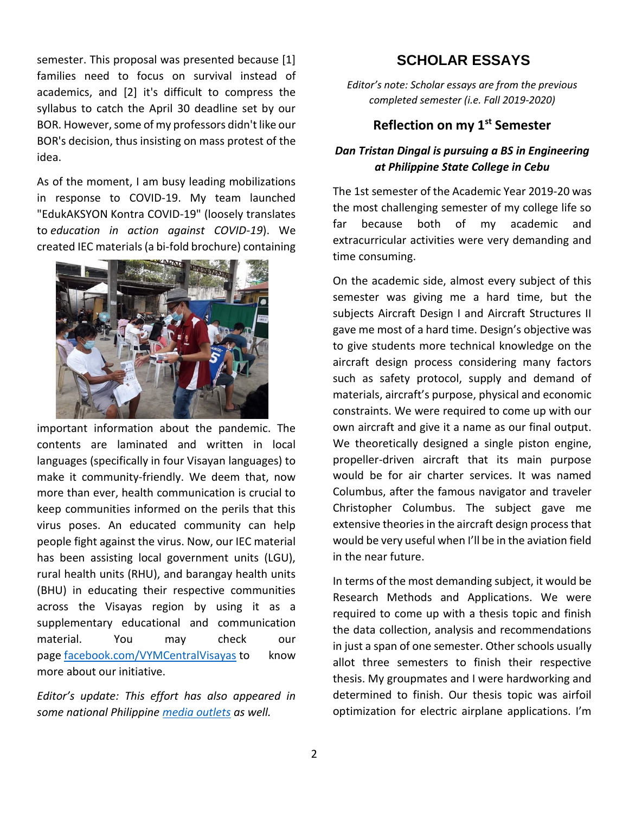semester. This proposal was presented because [1] families need to focus on survival instead of academics, and [2] it's difficult to compress the syllabus to catch the April 30 deadline set by our BOR. However, some of my professors didn't like our BOR's decision, thus insisting on mass protest of the idea.

As of the moment, I am busy leading mobilizations in response to COVID-19. My team launched "EdukAKSYON Kontra COVID-19" (loosely translates to *education in action against COVID-19*). We created IEC materials (a bi-fold brochure) containing



important information about the pandemic. The contents are laminated and written in local languages (specifically in four Visayan languages) to make it community-friendly. We deem that, now more than ever, health communication is crucial to keep communities informed on the perils that this virus poses. An educated community can help people fight against the virus. Now, our IEC material has been assisting local government units (LGU), rural health units (RHU), and barangay health units (BHU) in educating their respective communities across the Visayas region by using it as a supplementary educational and communication material. You may check our page [facebook.com/VYMCentralVisayas](http://facebook.com/VYMCentralVisayas) to know more about our initiative.

*Editor's update: This effort has also appeared in some national Philippine [media outlets](https://newsinfo.inquirer.net/1279800/in-visayas-youth-leaders-help-local-communities-better-discern-covid-19?fbclid=IwAR2LXdcT5P7Yxtx6ILW5rOHDAep32QeBtYiZ2Y-uusN_pXK9WYRQ0V6s00s) as well.*

# **SCHOLAR ESSAYS**

*Editor's note: Scholar essays are from the previous completed semester (i.e. Fall 2019-2020)*

## **Reflection on my 1st Semester**

#### *Dan Tristan Dingal is pursuing a BS in Engineering at Philippine State College in Cebu*

The 1st semester of the Academic Year 2019-20 was the most challenging semester of my college life so far because both of my academic and extracurricular activities were very demanding and time consuming.

On the academic side, almost every subject of this semester was giving me a hard time, but the subjects Aircraft Design I and Aircraft Structures II gave me most of a hard time. Design's objective was to give students more technical knowledge on the aircraft design process considering many factors such as safety protocol, supply and demand of materials, aircraft's purpose, physical and economic constraints. We were required to come up with our own aircraft and give it a name as our final output. We theoretically designed a single piston engine, propeller-driven aircraft that its main purpose would be for air charter services. It was named Columbus, after the famous navigator and traveler Christopher Columbus. The subject gave me extensive theories in the aircraft design process that would be very useful when I'll be in the aviation field in the near future.

In terms of the most demanding subject, it would be Research Methods and Applications. We were required to come up with a thesis topic and finish the data collection, analysis and recommendations in just a span of one semester. Other schools usually allot three semesters to finish their respective thesis. My groupmates and I were hardworking and determined to finish. Our thesis topic was airfoil optimization for electric airplane applications. I'm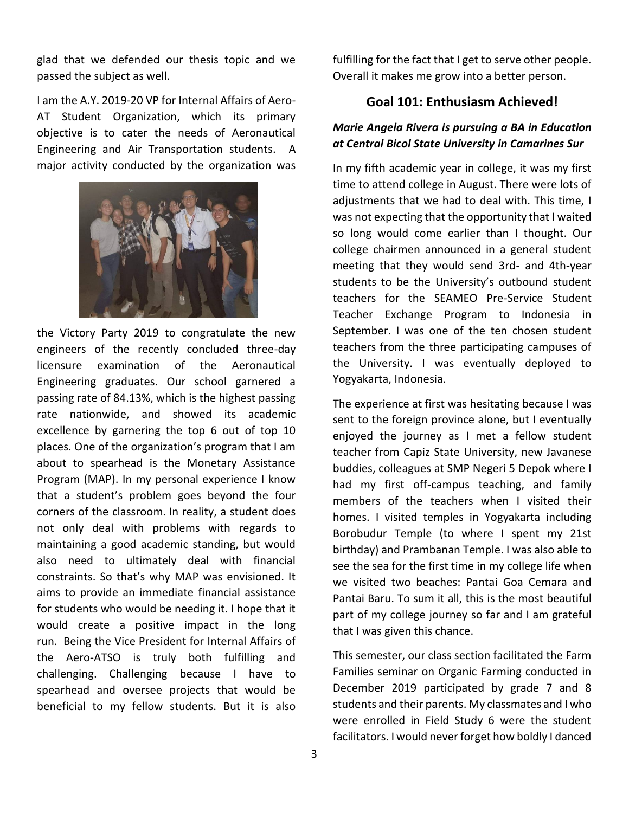glad that we defended our thesis topic and we passed the subject as well.

I am the A.Y. 2019-20 VP for Internal Affairs of Aero-AT Student Organization, which its primary objective is to cater the needs of Aeronautical Engineering and Air Transportation students. A major activity conducted by the organization was



the Victory Party 2019 to congratulate the new engineers of the recently concluded three-day licensure examination of the Aeronautical Engineering graduates. Our school garnered a passing rate of 84.13%, which is the highest passing rate nationwide, and showed its academic excellence by garnering the top 6 out of top 10 places. One of the organization's program that I am about to spearhead is the Monetary Assistance Program (MAP). In my personal experience I know that a student's problem goes beyond the four corners of the classroom. In reality, a student does not only deal with problems with regards to maintaining a good academic standing, but would also need to ultimately deal with financial constraints. So that's why MAP was envisioned. It aims to provide an immediate financial assistance for students who would be needing it. I hope that it would create a positive impact in the long run. Being the Vice President for Internal Affairs of the Aero-ATSO is truly both fulfilling and challenging. Challenging because I have to spearhead and oversee projects that would be beneficial to my fellow students. But it is also

fulfilling for the fact that I get to serve other people. Overall it makes me grow into a better person.

#### **Goal 101: Enthusiasm Achieved!**

#### *Marie Angela Rivera is pursuing a BA in Education at Central Bicol State University in Camarines Sur*

In my fifth academic year in college, it was my first time to attend college in August. There were lots of adiustments that we had to deal with. This time, I was not expecting that the opportunity that I waited so long would come earlier than I thought. Our college chairmen announced in a general student meeting that they would send 3rd- and 4th-year students to be the University's outbound student teachers for the SEAMEO Pre-Service Student Teacher Exchange Program to Indonesia in September. I was one of the ten chosen student teachers from the three participating campuses of the University. I was eventually deployed to Yogyakarta, Indonesia.

The experience at first was hesitating because I was sent to the foreign province alone, but I eventually enjoyed the journey as I met a fellow student teacher from Capiz State University, new Javanese buddies, colleagues at SMP Negeri 5 Depok where I had my first off-campus teaching, and family members of the teachers when I visited their homes. I visited temples in Yogyakarta including Borobudur Temple (to where I spent my 21st birthday) and Prambanan Temple. I was also able to see the sea for the first time in my college life when we visited two beaches: Pantai Goa Cemara and Pantai Baru. To sum it all, this is the most beautiful part of my college journey so far and I am grateful that I was given this chance.

This semester, our class section facilitated the Farm Families seminar on Organic Farming conducted in December 2019 participated by grade 7 and 8 students and their parents. My classmates and I who were enrolled in Field Study 6 were the student facilitators. I would never forget how boldly I danced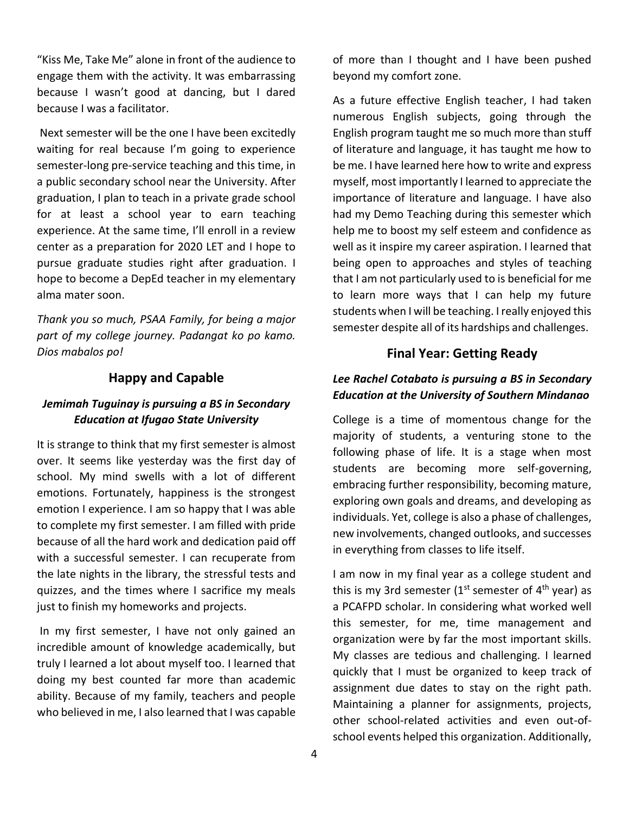"Kiss Me, Take Me" alone in front of the audience to engage them with the activity. It was embarrassing because I wasn't good at dancing, but I dared because I was a facilitator.

Next semester will be the one I have been excitedly waiting for real because I'm going to experience semester-long pre-service teaching and this time, in a public secondary school near the University. After graduation, I plan to teach in a private grade school for at least a school year to earn teaching experience. At the same time, I'll enroll in a review center as a preparation for 2020 LET and I hope to pursue graduate studies right after graduation. I hope to become a DepEd teacher in my elementary alma mater soon.

*Thank you so much, PSAA Family, for being a major part of my college journey. Padangat ko po kamo. Dios mabalos po!*

#### **Happy and Capable**

#### *Jemimah Tuguinay is pursuing a BS in Secondary Education at Ifugao State University*

It is strange to think that my first semester is almost over. It seems like yesterday was the first day of school. My mind swells with a lot of different emotions. Fortunately, happiness is the strongest emotion I experience. I am so happy that I was able to complete my first semester. I am filled with pride because of all the hard work and dedication paid off with a successful semester. I can recuperate from the late nights in the library, the stressful tests and quizzes, and the times where I sacrifice my meals just to finish my homeworks and projects.

In my first semester, I have not only gained an incredible amount of knowledge academically, but truly I learned a lot about myself too. I learned that doing my best counted far more than academic ability. Because of my family, teachers and people who believed in me, I also learned that I was capable

of more than I thought and I have been pushed beyond my comfort zone.

As a future effective English teacher, I had taken numerous English subjects, going through the English program taught me so much more than stuff of literature and language, it has taught me how to be me. I have learned here how to write and express myself, most importantly I learned to appreciate the importance of literature and language. I have also had my Demo Teaching during this semester which help me to boost my self esteem and confidence as well as it inspire my career aspiration. I learned that being open to approaches and styles of teaching that I am not particularly used to is beneficial for me to learn more ways that I can help my future students when I will be teaching. I really enjoyed this semester despite all of its hardships and challenges.

#### **Final Year: Getting Ready**

#### *Lee Rachel Cotabato is pursuing a BS in Secondary Education at the University of Southern Mindanao*

College is a time of momentous change for the majority of students, a venturing stone to the following phase of life. It is a stage when most students are becoming more self-governing, embracing further responsibility, becoming mature, exploring own goals and dreams, and developing as individuals. Yet, college is also a phase of challenges, new involvements, changed outlooks, and successes in everything from classes to life itself.

I am now in my final year as a college student and this is my 3rd semester (1<sup>st</sup> semester of  $4<sup>th</sup>$  year) as a PCAFPD scholar. In considering what worked well this semester, for me, time management and organization were by far the most important skills. My classes are tedious and challenging. I learned quickly that I must be organized to keep track of assignment due dates to stay on the right path. Maintaining a planner for assignments, projects, other school-related activities and even out-ofschool events helped this organization. Additionally,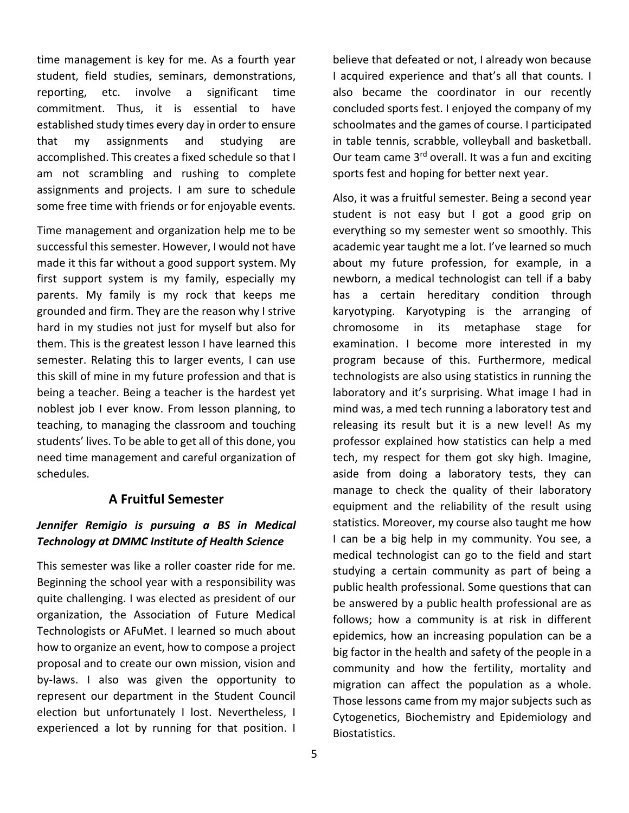time management is key for me. As a fourth year student, field studies, seminars, demonstrations, reporting, etc. involve a significant time commitment. Thus, it is essential to have established study times every day in order to ensure that my assignments and studying are accomplished. This creates a fixed schedule so that I am not scrambling and rushing to complete assignments and projects. I am sure to schedule some free time with friends or for enjoyable events.

Time management and organization help me to be successful this semester. However, I would not have made it this far without a good support system. My first support system is my family, especially my parents. My family is my rock that keeps me grounded and firm. They are the reason why I strive hard in my studies not just for myself but also for them. This is the greatest lesson I have learned this semester. Relating this to larger events, I can use this skill of mine in my future profession and that is being a teacher. Being a teacher is the hardest yet noblest job I ever know. From lesson planning, to teaching, to managing the classroom and touching students' lives. To be able to get all of this done, you need time management and careful organization of schedules.

#### **A Fruitful Semester**

### *Jennifer Remigio is pursuing a BS in Medical Technology at DMMC Institute of Health Science*

This semester was like a roller coaster ride for me. Beginning the school year with a responsibility was quite challenging. I was elected as president of our organization, the Association of Future Medical Technologists or AFuMet. I learned so much about how to organize an event, how to compose a project proposal and to create our own mission, vision and by-laws. I also was given the opportunity to represent our department in the Student Council election but unfortunately I lost. Nevertheless, I experienced a lot by running for that position. I

believe that defeated or not, I already won because I acquired experience and that's all that counts. I also became the coordinator in our recently concluded sports fest. I enjoyed the company of my schoolmates and the games of course. I participated in table tennis, scrabble, volleyball and basketball. Our team came 3<sup>rd</sup> overall. It was a fun and exciting sports fest and hoping for better next year.

Also, it was a fruitful semester. Being a second year student is not easy but I got a good grip on everything so my semester went so smoothly. This academic year taught me a lot. I've learned so much about my future profession, for example, in a newborn, a medical technologist can tell if a baby has a certain hereditary condition through karyotyping. Karyotyping is the arranging of chromosome in its metaphase stage for examination. I become more interested in my program because of this. Furthermore, medical technologists are also using statistics in running the laboratory and it's surprising. What image I had in mind was, a med tech running a laboratory test and releasing its result but it is a new level! As my professor explained how statistics can help a med tech, my respect for them got sky high. Imagine, aside from doing a laboratory tests, they can manage to check the quality of their laboratory equipment and the reliability of the result using statistics. Moreover, my course also taught me how I can be a big help in my community. You see, a medical technologist can go to the field and start studying a certain community as part of being a public health professional. Some questions that can be answered by a public health professional are as follows; how a community is at risk in different epidemics, how an increasing population can be a big factor in the health and safety of the people in a community and how the fertility, mortality and migration can affect the population as a whole. Those lessons came from my major subjects such as Cytogenetics, Biochemistry and Epidemiology and Biostatistics.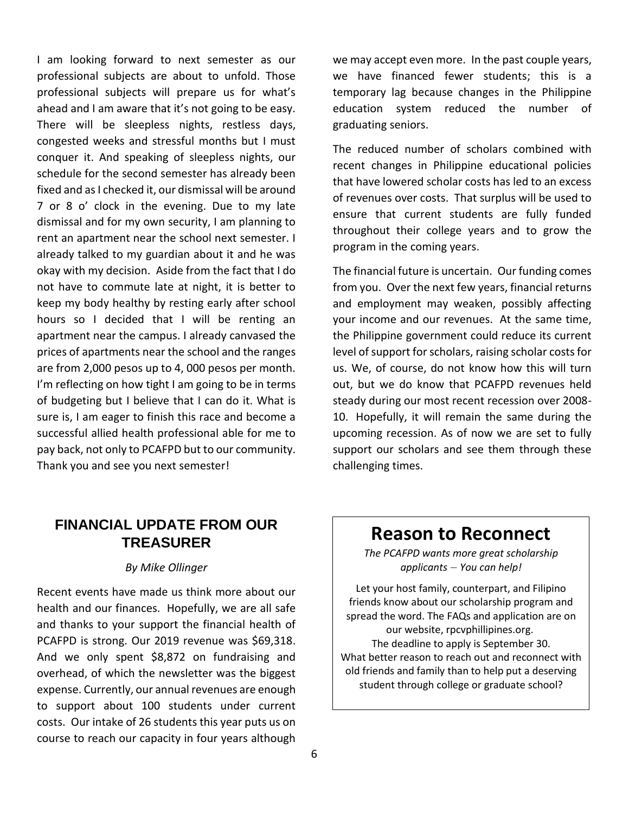I am looking forward to next semester as our professional subjects are about to unfold. Those professional subjects will prepare us for what's ahead and I am aware that it's not going to be easy. There will be sleepless nights, restless days, congested weeks and stressful months but I must conquer it. And speaking of sleepless nights, our schedule for the second semester has already been fixed and as I checked it, our dismissal will be around 7 or 8 o' clock in the evening. Due to my late dismissal and for my own security, I am planning to rent an apartment near the school next semester. I already talked to my guardian about it and he was okay with my decision. Aside from the fact that I do not have to commute late at night, it is better to keep my body healthy by resting early after school hours so I decided that I will be renting an apartment near the campus. I already canvased the prices of apartments near the school and the ranges are from 2,000 pesos up to 4, 000 pesos per month. I'm reflecting on how tight I am going to be in terms of budgeting but I believe that I can do it. What is sure is, I am eager to finish this race and become a successful allied health professional able for me to pay back, not only to PCAFPD but to our community. Thank you and see you next semester!

we may accept even more. In the past couple years, we have financed fewer students; this is a temporary lag because changes in the Philippine education system reduced the number of graduating seniors.

The reduced number of scholars combined with recent changes in Philippine educational policies that have lowered scholar costs has led to an excess of revenues over costs. That surplus will be used to ensure that current students are fully funded throughout their college years and to grow the program in the coming years.

The financial future is uncertain. Our funding comes from you. Over the next few years, financial returns and employment may weaken, possibly affecting your income and our revenues. At the same time, the Philippine government could reduce its current level of support for scholars, raising scholar costs for us. We, of course, do not know how this will turn out, but we do know that PCAFPD revenues held steady during our most recent recession over 2008- 10. Hopefully, it will remain the same during the upcoming recession. As of now we are set to fully support our scholars and see them through these challenging times.

## **FINANCIAL UPDATE FROM OUR TREASURER**

#### *By Mike Ollinger*

Recent events have made us think more about our health and our finances. Hopefully, we are all safe and thanks to your support the financial health of PCAFPD is strong. Our 2019 revenue was \$69,318. And we only spent \$8,872 on fundraising and overhead, of which the newsletter was the biggest expense. Currently, our annual revenues are enough to support about 100 students under current costs. Our intake of 26 students this year puts us on course to reach our capacity in four years although

# **Reason to Reconnect**

*The PCAFPD wants more great scholarship applicants – You can help!*

Let your host family, counterpart, and Filipino friends know about our scholarship program and spread the word. The FAQs and application are on our website, rpcvphillipines.org. The deadline to apply is September 30. What better reason to reach out and reconnect with old friends and family than to help put a deserving student through college or graduate school?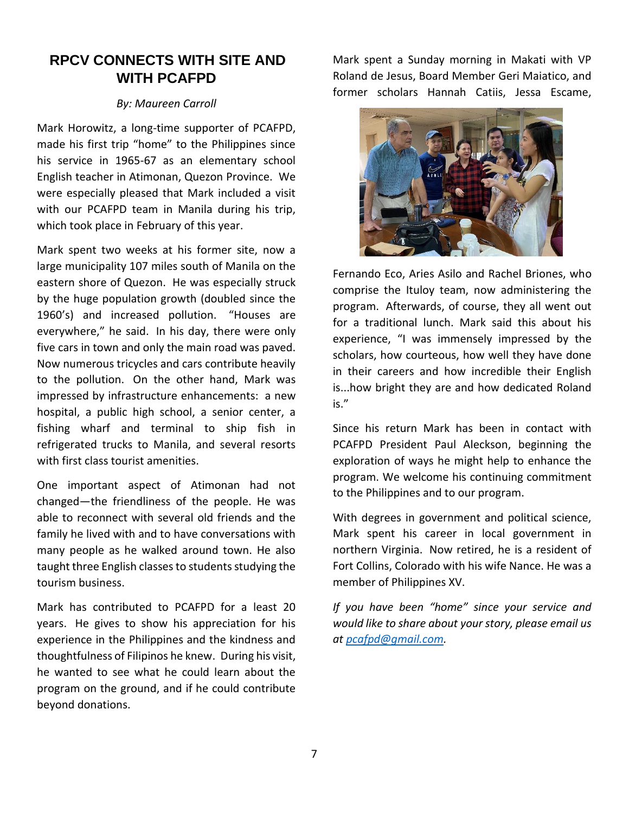# **RPCV CONNECTS WITH SITE AND WITH PCAFPD**

#### *By: Maureen Carroll*

Mark Horowitz, a long-time supporter of PCAFPD, made his first trip "home" to the Philippines since his service in 1965-67 as an elementary school English teacher in Atimonan, Quezon Province. We were especially pleased that Mark included a visit with our PCAFPD team in Manila during his trip, which took place in February of this year.

Mark spent two weeks at his former site, now a large municipality 107 miles south of Manila on the eastern shore of Quezon. He was especially struck by the huge population growth (doubled since the 1960's) and increased pollution. "Houses are everywhere," he said. In his day, there were only five cars in town and only the main road was paved. Now numerous tricycles and cars contribute heavily to the pollution. On the other hand, Mark was impressed by infrastructure enhancements: a new hospital, a public high school, a senior center, a fishing wharf and terminal to ship fish in refrigerated trucks to Manila, and several resorts with first class tourist amenities.

One important aspect of Atimonan had not changed—the friendliness of the people. He was able to reconnect with several old friends and the family he lived with and to have conversations with many people as he walked around town. He also taught three English classes to students studying the tourism business.

Mark has contributed to PCAFPD for a least 20 years. He gives to show his appreciation for his experience in the Philippines and the kindness and thoughtfulness of Filipinos he knew. During his visit, he wanted to see what he could learn about the program on the ground, and if he could contribute beyond donations.

Mark spent a Sunday morning in Makati with VP Roland de Jesus, Board Member Geri Maiatico, and former scholars Hannah Catiis, Jessa Escame,



Fernando Eco, Aries Asilo and Rachel Briones, who comprise the Ituloy team, now administering the program. Afterwards, of course, they all went out for a traditional lunch. Mark said this about his experience, "I was immensely impressed by the scholars, how courteous, how well they have done in their careers and how incredible their English is...how bright they are and how dedicated Roland is."

Since his return Mark has been in contact with PCAFPD President Paul Aleckson, beginning the exploration of ways he might help to enhance the program. We welcome his continuing commitment to the Philippines and to our program.

With degrees in government and political science, Mark spent his career in local government in northern Virginia. Now retired, he is a resident of Fort Collins, Colorado with his wife Nance. He was a member of Philippines XV.

*If you have been "home" since your service and would like to share about your story, please email us at [pcafpd@gmail.com.](mailto:pcafpd@gmail.com)*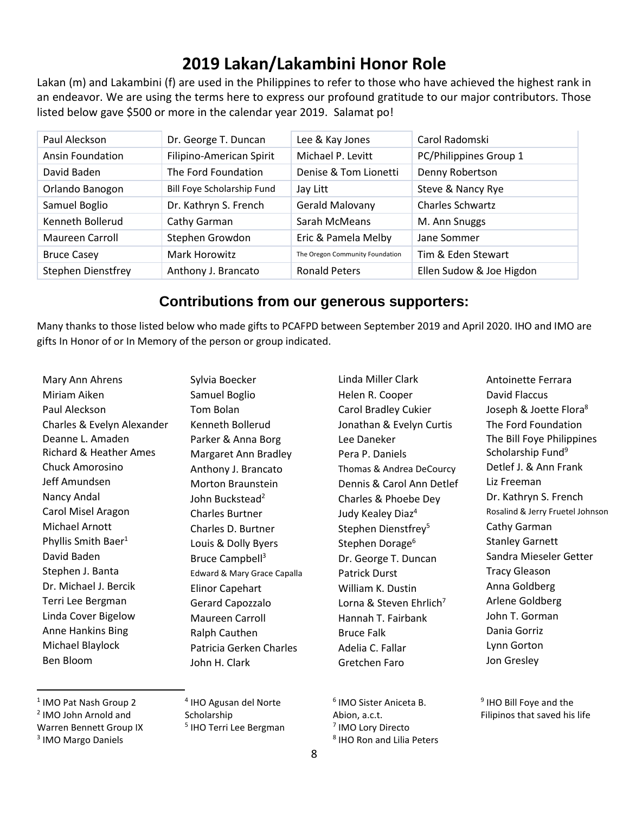# **2019 Lakan/Lakambini Honor Role**

Lakan (m) and Lakambini (f) are used in the Philippines to refer to those who have achieved the highest rank in an endeavor. We are using the terms here to express our profound gratitude to our major contributors. Those listed below gave \$500 or more in the calendar year 2019. Salamat po!

| Paul Aleckson             | Dr. George T. Duncan       | Lee & Kay Jones                 | Carol Radomski           |
|---------------------------|----------------------------|---------------------------------|--------------------------|
| Ansin Foundation          | Filipino-American Spirit   | Michael P. Levitt               | PC/Philippines Group 1   |
| David Baden               | The Ford Foundation        | Denise & Tom Lionetti           | Denny Robertson          |
| Orlando Banogon           | Bill Foye Scholarship Fund | Jay Litt                        | Steve & Nancy Rye        |
| Samuel Boglio             | Dr. Kathryn S. French      | Gerald Malovany                 | <b>Charles Schwartz</b>  |
| Kenneth Bollerud          | Cathy Garman               | Sarah McMeans                   | M. Ann Snuggs            |
| Maureen Carroll           | Stephen Growdon            | Eric & Pamela Melby             | Jane Sommer              |
| <b>Bruce Casey</b>        | Mark Horowitz              | The Oregon Community Foundation | Tim & Eden Stewart       |
| <b>Stephen Dienstfrey</b> | Anthony J. Brancato        | <b>Ronald Peters</b>            | Ellen Sudow & Joe Higdon |

## **Contributions from our generous supporters:**

Many thanks to those listed below who made gifts to PCAFPD between September 2019 and April 2020. IHO and IMO are gifts In Honor of or In Memory of the person or group indicated.

Mary Ann Ahrens Miriam Aiken Paul Aleckson Charles & Evelyn Alexander Deanne L. Amaden Richard & Heather Ames Chuck Amorosino Jeff Amundsen Nancy Andal Carol Misel Aragon Michael Arnott Phyllis Smith Baer<sup>1</sup> David Baden Stephen J. Banta Dr. Michael J. Bercik Terri Lee Bergman Linda Cover Bigelow Anne Hankins Bing Michael Blaylock Ben Bloom

Sylvia Boecker Samuel Boglio Tom Bolan Kenneth Bollerud Parker & Anna Borg Margaret Ann Bradley Anthony J. Brancato Morton Braunstein John Buckstead<sup>2</sup> Charles Burtner Charles D. Burtner Louis & Dolly Byers Bruce Campbell<sup>3</sup> Edward & Mary Grace Capalla Elinor Capehart Gerard Capozzalo Maureen Carroll Ralph Cauthen Patricia Gerken Charles John H. Clark

Linda Miller Clark Helen R. Cooper Carol Bradley Cukier Jonathan & Evelyn Curtis Lee Daneker Pera P. Daniels Thomas & Andrea DeCourcy Dennis & Carol Ann Detlef Charles & Phoebe Dey Judy Kealey Diaz<sup>4</sup> Stephen Dienstfrey<sup>5</sup> Stephen Dorage<sup>6</sup> Dr. George T. Duncan Patrick Durst William K. Dustin Lorna & Steven Ehrlich<sup>7</sup> Hannah T. Fairbank Bruce Falk Adelia C. Fallar Gretchen Faro

The Ford Foundation The Bill Foye Philippines Scholarship Fund<sup>9</sup> Detlef J. & Ann Frank Liz Freeman Dr. Kathryn S. French Rosalind & Jerry Fruetel Johnson Cathy Garman Stanley Garnett Sandra Mieseler Getter Tracy Gleason Anna Goldberg Arlene Goldberg John T. Gorman Dania Gorriz Lynn Gorton Jon Gresley

Antoinette Ferrara David Flaccus

Joseph & Joette Flora<sup>8</sup>

<sup>9</sup> IHO Bill Foye and the Filipinos that saved his life

<sup>1</sup> IMO Pat Nash Group 2

- 2 IMO John Arnold and Warren Bennett Group IX
- 
- 3 IMO Margo Daniels

4 IHO Agusan del Norte Scholarship 5 IHO Terri Lee Bergman

 IMO Sister Aniceta B. Abion, a.c.t. IMO Lory Directo IHO Ron and Lilia Peters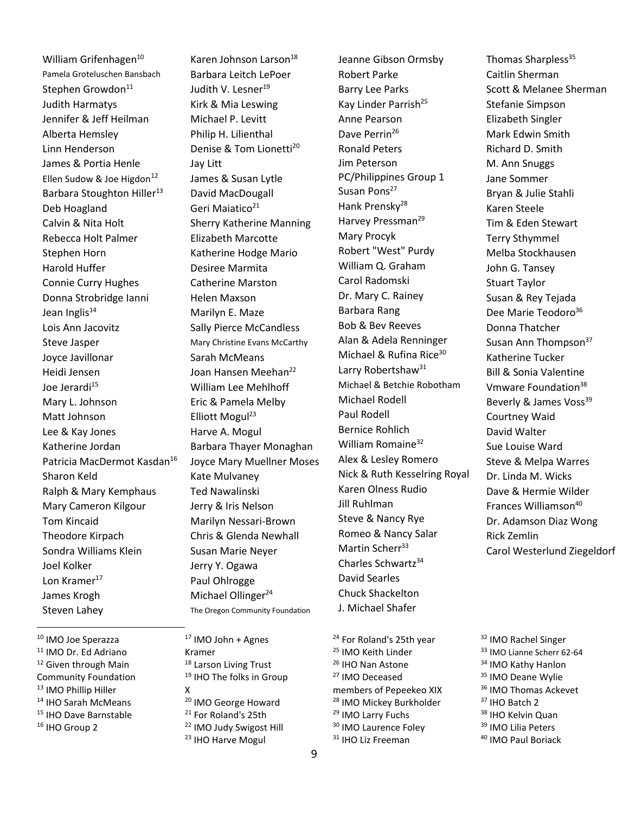William Grifenhagen<sup>10</sup> Pamela Groteluschen Bansbach Stephen Growdon<sup>11</sup> Judith Harmatys Jennifer & Jeff Heilman Alberta Hemsley Linn Henderson James & Portia Henle Ellen Sudow & Joe Higdon<sup>12</sup> Barbara Stoughton Hiller<sup>13</sup> Deb Hoagland Calvin & Nita Holt Rebecca Holt Palmer Stephen Horn Harold Huffer Connie Curry Hughes Donna Strobridge Ianni Jean Inglis $14$ Lois Ann Jacovitz Steve Jasper Joyce Javillonar Heidi Jensen Joe Jerardi<sup>15</sup> Mary L. Johnson Matt Johnson Lee & Kay Jones Katherine Jordan Patricia MacDermot Kasdan<sup>16</sup> Sharon Keld Ralph & Mary Kemphaus Mary Cameron Kilgour Tom Kincaid Theodore Kirpach Sondra Williams Klein Joel Kolker Lon Kramer $^{17}$ James Krogh Steven Lahey

 IMO Joe Sperazza IMO Dr. Ed Adriano <sup>12</sup> Given through Main Community Foundation IMO Phillip Hiller IHO Sarah McMeans IHO Dave Barnstable <sup>16</sup> IHO Group 2

Karen Johnson Larson<sup>18</sup> Barbara Leitch LePoer Judith V. Lesner<sup>19</sup> Kirk & Mia Leswing Michael P. Levitt Philip H. Lilienthal Denise & Tom Lionetti<sup>20</sup> Jay Litt James & Susan Lytle David MacDougall Geri Maiatico<sup>21</sup> Sherry Katherine Manning Elizabeth Marcotte Katherine Hodge Mario Desiree Marmita Catherine Marston Helen Maxson Marilyn E. Maze Sally Pierce McCandless Mary Christine Evans McCarthy Sarah McMeans Joan Hansen Meehan<sup>22</sup> William Lee Mehlhoff Eric & Pamela Melby Elliott Mogul<sup>23</sup> Harve A. Mogul Barbara Thayer Monaghan Joyce Mary Muellner Moses Kate Mulvaney Ted Nawalinski Jerry & Iris Nelson Marilyn Nessari-Brown Chris & Glenda Newhall Susan Marie Neyer Jerry Y. Ogawa Paul Ohlrogge Michael Ollinger<sup>24</sup> The Oregon Community Foundation

<sup>17</sup> IMO John + Agnes Kramer 18 Larson Living Trust 19 IHO The folks in Group X <sup>20</sup> IMO George Howard <sup>21</sup> For Roland's 25th <sup>22</sup> IMO Judy Swigost Hill <sup>23</sup> IHO Harve Mogul

Jeanne Gibson Ormsby Robert Parke Barry Lee Parks Kay Linder Parrish<sup>25</sup> Anne Pearson Dave Perrin<sup>26</sup> Ronald Peters Jim Peterson PC/Philippines Group 1 Susan Pons<sup>27</sup> Hank Prensky<sup>28</sup> Harvey Pressman<sup>29</sup> Mary Procyk Robert "West" Purdy William Q. Graham Carol Radomski Dr. Mary C. Rainey Barbara Rang Bob & Bev Reeves Alan & Adela Renninger Michael & Rufina Rice<sup>30</sup> Larry Robertshaw<sup>31</sup> Michael & Betchie Robotham Michael Rodell Paul Rodell Bernice Rohlich William Romaine<sup>32</sup> Alex & Lesley Romero Nick & Ruth Kesselring Royal Karen Olness Rudio Jill Ruhlman Steve & Nancy Rye Romeo & Nancy Salar Martin Scherr<sup>33</sup> Charles Schwartz<sup>34</sup> David Searles Chuck Shackelton J. Michael Shafer

<sup>24</sup> For Roland's 25th year <sup>25</sup> IMO Keith Linder <sup>26</sup> IHO Nan Astone <sup>27</sup> IMO Deceased members of Pepeekeo XIX <sup>28</sup> IMO Mickey Burkholder <sup>29</sup> IMO Larry Fuchs <sup>30</sup> IMO Laurence Foley <sup>31</sup> IHO Liz Freeman

Thomas Sharpless<sup>35</sup> Caitlin Sherman Scott & Melanee Sherman Stefanie Simpson Elizabeth Singler Mark Edwin Smith Richard D. Smith M. Ann Snuggs Jane Sommer Bryan & Julie Stahli Karen Steele Tim & Eden Stewart Terry Sthymmel Melba Stockhausen John G. Tansey Stuart Taylor Susan & Rey Tejada Dee Marie Teodoro<sup>36</sup> Donna Thatcher Susan Ann Thompson<sup>37</sup> Katherine Tucker Bill & Sonia Valentine Vmware Foundation<sup>38</sup> Beverly & James Voss<sup>39</sup> Courtney Waid David Walter Sue Louise Ward Steve & Melpa Warres Dr. Linda M. Wicks Dave & Hermie Wilder Frances Williamson<sup>40</sup> Dr. Adamson Diaz Wong Rick Zemlin Carol Westerlund Ziegeldorf

<sup>32</sup> IMO Rachel Singer IMO Lianne Scherr 62-64 IMO Kathy Hanlon <sup>35</sup> IMO Deane Wylie IMO Thomas Ackevet IHO Batch 2 38 IHO Kelvin Quan IMO Lilia Peters IMO Paul Boriack